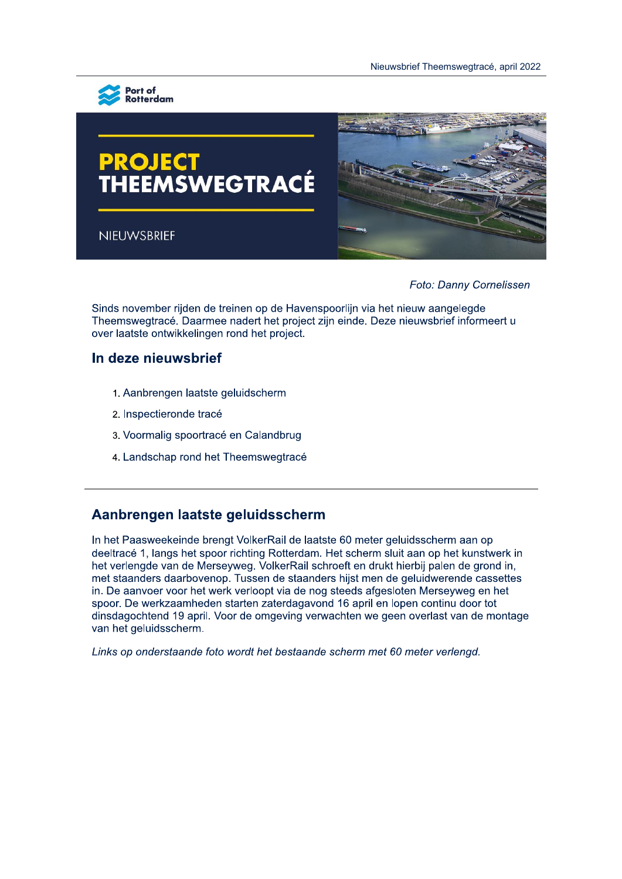

# **PROJECT<br>THEEMSWEGTRACÉ**

NIEUWSBRIEF



Foto: Danny Cornelissen

Sinds november rijden de treinen op de Havenspoorlijn via het nieuw aangelegde Theemswegtrace. Daarmee haden het project zijn einde. Deze hieuwsbrief informeen u over laatste ontwikkelingen rond het project.

# in deze nieuwsbrief

- 1. Aanbrengen laatste geluidscherm
- 2. Inspectieronde trace
- 3. Voormalig spoortrace en Calandbrug
- 4. Landschap rond het Theemswegtrace

# Aanbrengen laatste geluldsscherm

in het Paasweekeinde brengt VolkerRail de laatste 60 meter geluidsscherm aan op deeltrace 1, langs het spoor richting Rotterdam. Het scherm sluit aan op het kunstwerk in net verlengde van de Merseyweg. VolkerRall schroeft en drukt nierbij palen de grond in, met staanders daarbovenop. Tussen de staanders hijst men de geluidwerende cassettes in. De aanvoer voor het werk verloopt via de nog steeds afgesloten Merseyweg en het spoor. De werkzaamneden starten zaterdagavond 16 april en lopen continu door tot dinsdagochtend 19 april. Voor de omgeving verwachten we geen overlast van de montage van het geluidsscherm.

Links op onderstaande foto wordt het bestaande scherm met 60 meter verlengd.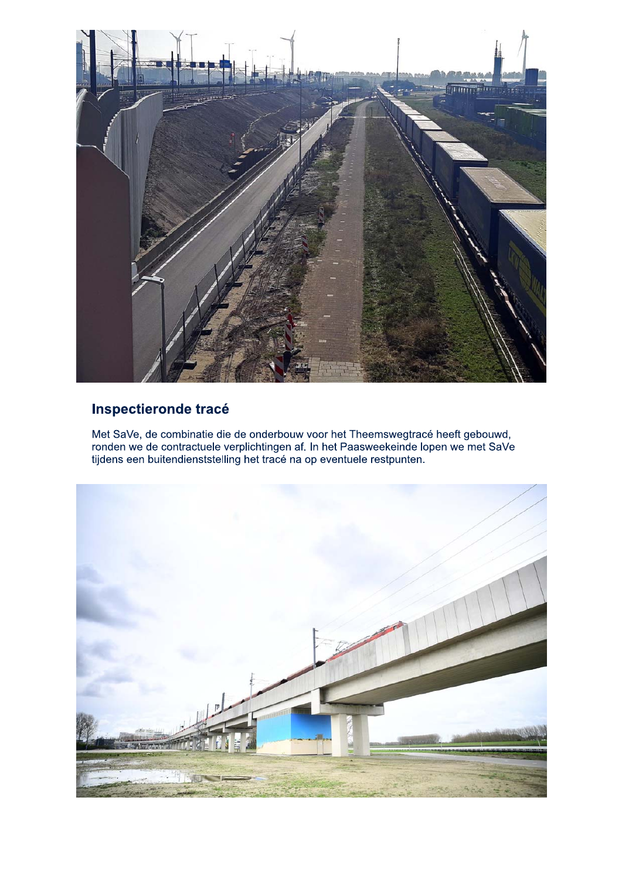

## Inspectieronde tracé

Met SaVe, de combinatie die de onderbouw voor het Theemswegtracé heeft gebouwd, ronden we de contractuele verplichtingen af. In het Paasweekeinde lopen we met SaVe tijdens een buitendienststelling het tracé na op eventuele

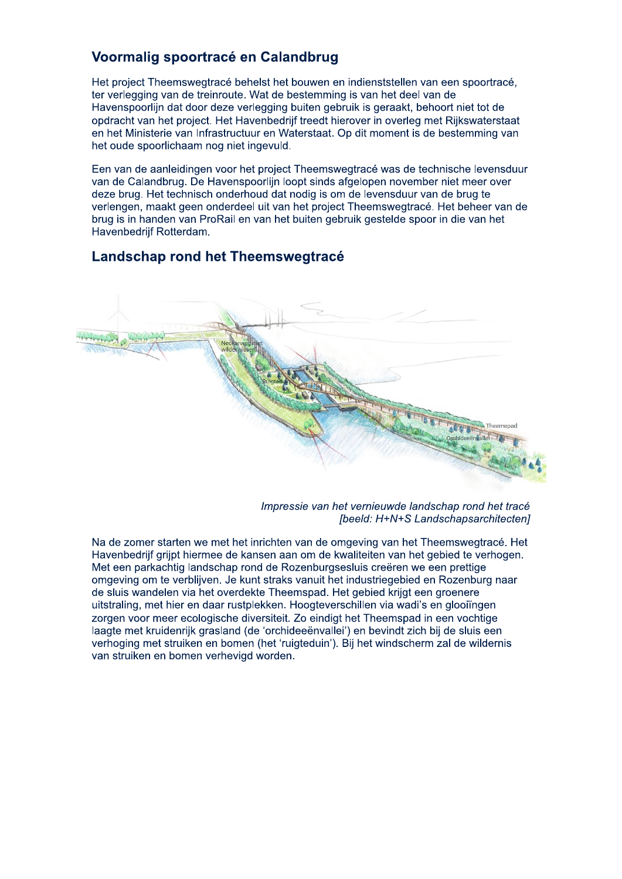#### Voormalig spoortracé en Calandbrug

Het project Theemswegtracé behelst het bouwen en indienststellen van een spoortracé. ter verlegging van de treinroute. Wat de bestemming is van het deel van de Havenspoorlijn dat door deze verlegging buiten gebruik is geraakt, behoort niet tot de opdracht van het project. Het Havenbedrijf treedt hierover in overleg met Rijkswaterstaat en het Ministerie van Infrastructuur en Waterstaat. Op dit moment is de bestemming van het oude spoorlichaam nog niet ingevuld.

Een van de aanleidingen voor het project Theemswegtracé was de technische levensduur van de Calandbrug. De Havenspoorlijn loopt sinds afgelopen november niet meer over deze brug. Het technisch onderhoud dat nodig is om de levensduur van de brug te verlengen, maakt geen onderdeel uit van het project Theemswegtracé. Het beheer van de brug is in handen van ProRail en van het buiten gebruik gestelde spoor in die van het Havenbedrijf Rotterdam.

#### Landschap rond het Theemswegtracé



Impressie van het vernieuwde landschap rond het tracé [beeld: H+N+S Landschapsarchitecten]

Na de zomer starten we met het inrichten van de omgeving van het Theemswegtracé. Het Havenbedriif grijpt hiermee de kansen aan om de kwaliteiten van het gebied te verhogen. Met een parkachtig landschap rond de Rozenburgsesluis creëren we een prettige omgeving om te verblijven. Je kunt straks vanuit het industriegebied en Rozenburg naar de sluis wandelen via het overdekte Theemspad. Het gebied krijgt een groenere uitstraling, met hier en daar rustplekken. Hoogteverschillen via wadi's en glooiïngen zorgen voor meer ecologische diversiteit. Zo eindigt het Theemspad in een vochtige laagte met kruidenrijk grasland (de 'orchideeënvallei') en bevindt zich bij de sluis een verhoging met struiken en bomen (het 'ruigteduin'). Bij het windscherm zal de wildernis van struiken en bomen verhevigd worden.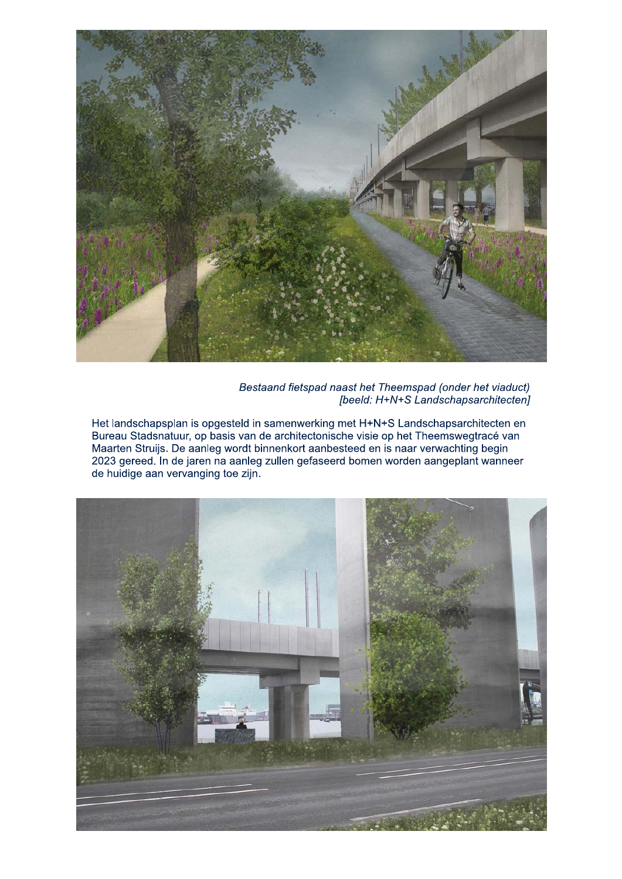

Bestaand fietspad naast het Theemspad (onder het viaduct) [beeld: H+N+S Landschapsarchitecten]

Het landschapsplan is opgesteld in samenwerking met H+N+S Landschapsarchitecten en Bureau Stadsnatuur, op basis van de architectonische visie op het Theemswegtracé van Maarten Struijs. De aanleg wordt binnenkort aanbesteed en is naar verwachting begin 2023 gereed. In de jaren na aanleg zullen gefaseerd bomen worden aangeplant wanneer de huidige aan vervanging toe zijn.